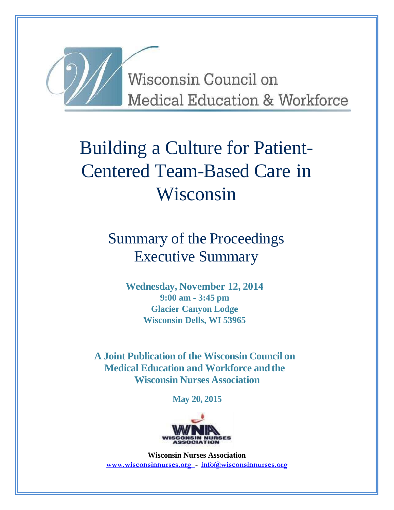

Wisconsin Council on **Medical Education & Workforce** 

# Building a Culture for Patient-Centered Team-Based Care in Wisconsin

Summary of the Proceedings Executive Summary

> **Wednesday, November 12, 2014 9:00 am - 3:45 pm Glacier Canyon Lodge Wisconsin Dells, WI 53965**

**A Joint Publication of the Wisconsin Council on Medical Education and Workforce and the Wisconsin Nurses Association**

**May 20, 2015**



**Wisconsin Nurses Association [www.wisconsinnurses.org -](http://www.wisconsinnurses.org/) [info@wisconsinnurses.org](mailto:info@wisconsinnurses.org)**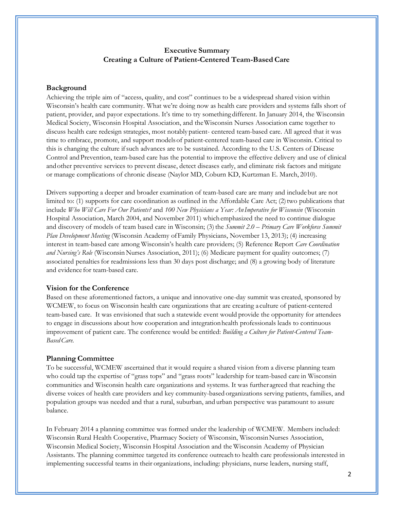# **Executive Summary Creating a Culture of Patient-Centered Team-Based Care**

# **Background**

Achieving the triple aim of "access, quality, and cost" continues to be a widespread shared vision within Wisconsin's health care community. What we're doing now as health care providers and systems falls short of patient, provider, and payor expectations. It's time to try something different. In January 2014, the Wisconsin Medical Society, Wisconsin Hospital Association, and theWisconsin Nurses Association came together to discuss health care redesign strategies, most notably patient- centered team-based care. All agreed that it was time to embrace, promote, and support modelsof patient-centered team-based care in Wisconsin. Critical to this is changing the culture ifsuch advances are to be sustained. According to the U.S. Centers of Disease Control and Prevention, team-based care has the potential to improve the effective delivery and use of clinical andother preventive services to prevent disease, detect diseases early, and eliminate risk factors and mitigate or manage complications of chronic disease (Naylor MD, Coburn KD, Kurtzman E. March, 2010).

Drivers supporting a deeper and broader examination of team-based care are many and includebut are not limited to:  $(1)$  supports for care coordination as outlined in the Affordable Care Act;  $(2)$  two publications that include *Who Will Care For Our Patients?* and *100 New Physicians a Year: AnImperative for Wisconsin* (Wisconsin Hospital Association, March 2004, and November 2011) whichemphasized the need to continue dialogue and discovery of models of team based care in Wisconsin; (3) the *Summit 2.0 – Primary Care Workforce Summit Plan Development Meeting* (Wisconsin Academy ofFamily Physicians, November 13, 2013); (4) increasing interest in team-based care among Wisconsin's health care providers; (5) Reference Report *Care Coordination and Nursing's Role* (Wisconsin Nurses Association, 2011); (6) Medicare payment for quality outcomes; (7) associated penaltiesfor readmissions less than 30 days post discharge; and (8) a growing body of literature and evidence for team-based care.

# **Vision for the Conference**

Based on these aforementioned factors, a unique and innovative one-day summit was created, sponsored by WCMEW, to focus on Wisconsin health care organizations that are creating a culture of patient-centered team-based care. It was envisioned that such a statewide event would provide the opportunity for attendees to engage in discussions about how cooperation and integrationhealth professionals leads to continuous improvement of patient care. The conference would be entitled: *Building a Culture for Patient-Centered Team-BasedCare.*

# **Planning Committee**

To be successful, WCMEW ascertained that it would require a shared vision from a diverse planning team who could tap the expertise of "grass tops" and "grass roots" leadership for team-based care in Wisconsin communities and Wisconsin health care organizations and systems. It was further agreed that reaching the diverse voices of health care providers and key community-based organizations serving patients, families, and population groups was needed and that a rural, suburban, and urban perspective was paramount to assure balance.

In February 2014 a planning committee was formed under the leadership of WCMEW. Members included: Wisconsin Rural Health Cooperative, Pharmacy Society of Wisconsin, Wisconsin Nurses Association, Wisconsin Medical Society, Wisconsin Hospital Association and the Wisconsin Academy of Physician Assistants. The planning committee targeted its conference outreach to health care professionals interested in implementing successful teams in their organizations, including: physicians, nurse leaders, nursing staff,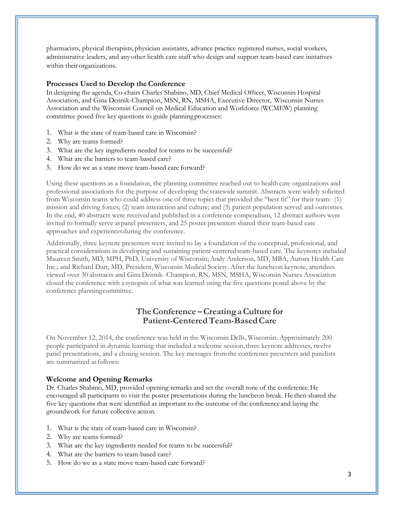pharmacists, physical therapists, physician assistants, advance practice registered nurses, social workers, administrative leaders, and anyother health care staff who design and support team-based care initiatives within theirorganizations.

# **Processes Used to Develop the Conference**

In designing the agenda, Co-chairs Charles Shabino, MD, Chief Medical Officer, Wisconsin Hospital Association, and Gina Dennik-Champion, MSN, RN, MSHA, Executive Director, Wisconsin Nurses Association and the Wisconsin Council on Medical Education and Workforce (WCMEW) planning committee posed five key questions to guide planningprocesses:

- 1. What is the state of team-based care in Wisconsin?
- 2. Why are teams formed?
- 3. What are the key ingredients needed for teams to be successful?
- 4. What are the barriers to team-based care?
- 5. How do we as a state move team-based care forward?

Using these questions as a foundation, the planning committee reached out to health care organizations and professional associations for the purpose of developing the statewide summit. Abstracts were widely solicited from Wisconsin teams who could address one of three topics that provided the "best fit" for their team: (1) mission and driving forces; (2) team interaction and culture; and (3) patient population served and outcomes. In the end, 40 abstracts were receivedand published in a conference compendium, 12 abstract authors were invited to formally serve aspanel presenters, and 25 poster presenters shared their team-based care approaches and experiencesduring the conference.

Additionally, three keynote presenters were invited to lay a foundation of the conceptual, professional, and practical considerations in developing and sustaining patient-centeredteam-based care. The keynotes included Maureen Smith, MD, MPH, PhD, University of Wisconsin; Andy Anderson, MD, MBA, Aurora Health Care Inc.; and Richard Dart, MD, President, Wisconsin Medical Society. After the luncheon keynote, attendees viewed over 30 abstracts and Gina Dennik- Champion, RN, MSN, MSHA, Wisconsin Nurses Association closed the conference with a synopsis of what was learned using the five questions posed above by the conference planningcommittee.

# **TheConference –CreatingaCulture for Patient-CenteredTeam-BasedCare**

On November 12, 2014, the conference was held in the Wisconsin Dells, Wisconsin. Approximately 200 people participated in dynamic learning that included a welcome session,three keynote addresses, twelve panel presentations, and a closing session. The key messages fromthe conference presenters and panelists are summarized asfollows:

# **Welcome and Opening Remarks**

Dr. Charles Shabino, MD, provided opening remarks and set the overall tone of the conference.He encouraged all participants to visit the poster presentations during the luncheon break. He then shared the five key questions that were identified as important to the outcome of the conference and laying the groundwork for future collective action.

- 1. What is the state of team-based care in Wisconsin?
- 2. Why are teams formed?
- 3. What are the key ingredients needed for teams to be successful?
- 4. What are the barriers to team-based care?
- 5. How do we as a state move team-based care forward?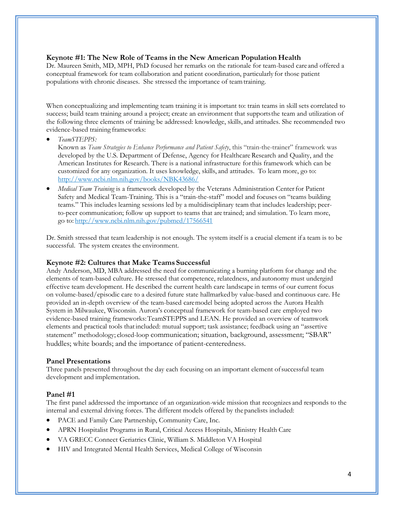# **Keynote #1: The New Role of Teams in the New American Population Health**

Dr. Maureen Smith, MD, MPH, PhD focused her remarks on the rationale for team-based care and offered a conceptual framework for team collaboration and patient coordination, particularly for those patient populations with chronic diseases. She stressed the importance of teamtraining.

When conceptualizing and implementing team training it is important to: train teams in skill sets correlated to success; build team training around a project; create an environment that supportsthe team and utilization of the following three elements of training be addressed: knowledge, skills, and attitudes. She recommended two evidence-based training frameworks:

*TeamSTEPPS:*

Known as *Team Strategies to Enhance Performance and Patient Safety*, this "train-the-trainer" framework was developed by the U.S. Department of Defense, Agency for Healthcare Research and Quality, and the American Institutes for Research. There is a national infrastructure forthis framework which can be customized for any organization. It uses knowledge, skills, and attitudes. To learn more, go to: <http://www.ncbi.nlm.nih.gov/books/NBK43686/>

 *Medical Team Training* is a framework developed by the Veterans Administration Centerfor Patient Safety and Medical Team-Training. This is a "train-the-staff" model and focuses on "teams building teams." This includes learning sessions led by a multidisciplinary team that includes leadership; peerto-peer communication; follow up support to teams that are trained; and simulation. To learn more, go to: <http://www.ncbi.nlm.nih.gov/pubmed/17566541>

Dr. Smith stressed that team leadership is not enough. The system itself is a crucial element if a team is to be successful. The system creates the environment.

# **Keynote #2: Cultures that Make Teams Successful**

Andy Anderson, MD, MBA addressed the need for communicating a burning platform for change and the elements of team-based culture. He stressed that competence, relatedness, and autonomy must undergird effective team development. He described the current health care landscape in terms of our current focus on volume-based/episodic care to a desired future state hallmarked by value-based and continuous care. He provided an in-depth overview of the team-based caremodel being adopted across the Aurora Health System in Milwaukee, Wisconsin. Aurora's conceptual framework for team-based care employed two evidence-based training frameworks:TeamSTEPPS and LEAN. He provided an overview of teamwork elements and practical tools thatincluded: mutual support; task assistance; feedback using an "assertive statement" methodology; closed-loop communication; situation, background, assessment; "SBAR" huddles; white boards; and the importance of patient-centeredness.

# **Panel Presentations**

Three panels presented throughout the day each focusing on an important element ofsuccessful team development and implementation.

# **Panel #1**

The first panel addressed the importance of an organization-wide mission that recognizes and responds to the internal and external driving forces. The different models offered by the panelists included:

- PACE and Family Care Partnership, Community Care, Inc.
- APRN Hospitalist Programs in Rural, Critical Access Hospitals, Ministry Health Care
- VA GRECC Connect Geriatrics Clinic, William S. Middleton VA Hospital
- HIV and Integrated Mental Health Services, Medical College of Wisconsin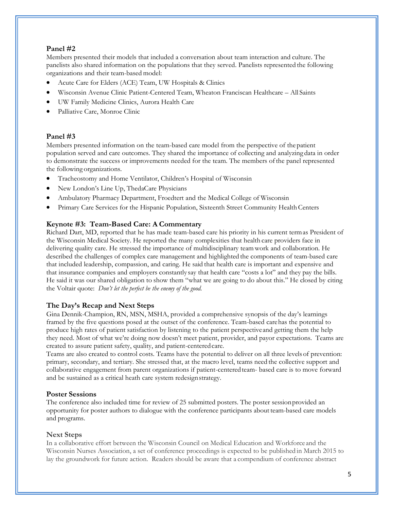# **Panel #2**

Members presented their models that included a conversation about team interaction and culture. The panelists also shared information on the populations that they served. Panelists represented the following organizations and their team-based model:

- Acute Care for Elders (ACE) Team, UW Hospitals & Clinics
- Wisconsin Avenue Clinic Patient-Centered Team, Wheaton Franciscan Healthcare All Saints
- UW Family Medicine Clinics, Aurora Health Care
- Palliative Care, Monroe Clinic

# **Panel #3**

Members presented information on the team-based care model from the perspective of thepatient population served and care outcomes. They shared the importance of collecting and analyzing data in order to demonstrate the success or improvements needed for the team. The members ofthe panel represented the following organizations.

- Tracheostomy and Home Ventilator, Children's Hospital of Wisconsin
- New London's Line Up, ThedaCare Physicians
- Ambulatory Pharmacy Department, Froedtert and the Medical College of Wisconsin
- Primary Care Services for the Hispanic Population, Sixteenth Street Community Health Centers

# **Keynote #3: Team-Based Care: A Commentary**

Richard Dart, MD, reported that he has made team-based care his priority in his current termas President of the Wisconsin Medical Society. He reported the many complexities that health care providers face in delivering quality care. He stressed the importance of multidisciplinary team work and collaboration. He described the challenges of complex care management and highlighted the components of team-based care that included leadership, compassion, and caring. He said that health care is important and expensive and that insurance companies and employers constantly say that health care "costs a lot" and they pay the bills. He said it was our shared obligation to show them "what we are going to do about this." He closed by citing the Voltair quote: *Don't let the perfect be the enemy of the good.*

# **The Day's Recap and Next Steps**

Gina Dennik-Champion, RN, MSN, MSHA, provided a comprehensive synopsis of the day's learnings framed by the five questions posed at the outset of the conference. Team-based carehas the potential to produce high rates of patient satisfaction by listening to the patient perspectiveand getting them the help they need. Most of what we're doing now doesn't meet patient, provider, and payor expectations. Teams are created to assure patient safety, quality, and patient-centeredcare.

Teams are also created to control costs. Teams have the potential to deliver on all three levels of prevention: primary, secondary, and tertiary. She stressed that, at the macro level, teams need the collective support and collaborative engagement from parent organizations if patient-centeredteam- based care is to move forward and be sustained as a critical heath care system redesignstrategy.

# **Poster Sessions**

The conference also included time for review of 25 submitted posters. The poster sessionprovided an opportunity for poster authors to dialogue with the conference participants about team-based care models and programs.

# **Next Steps**

In a collaborative effort between the Wisconsin Council on Medical Education and Workforce and the Wisconsin Nurses Association, a set of conference proceedings is expected to be published in March 2015 to lay the groundwork for future action. Readers should be aware that a compendium of conference abstract